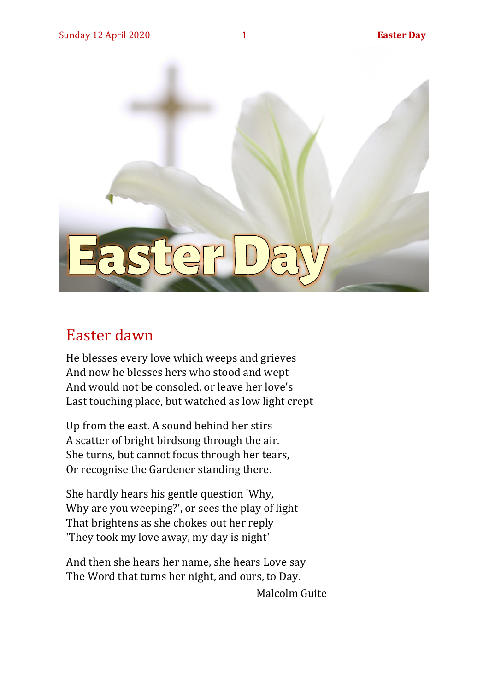

#### Easter dawn

He blesses every love which weeps and grieves And now he blesses hers who stood and wept And would not be consoled, or leave her love's Last touching place, but watched as low light crept

Up from the east. A sound behind her stirs A scatter of bright birdsong through the air. She turns, but cannot focus through her tears, Or recognise the Gardener standing there.

She hardly hears his gentle question 'Why, Why are you weeping?', or sees the play of light That brightens as she chokes out her reply 'They took my love away, my day is night'

And then she hears her name, she hears Love say The Word that turns her night, and ours, to Day.

Malcolm Guite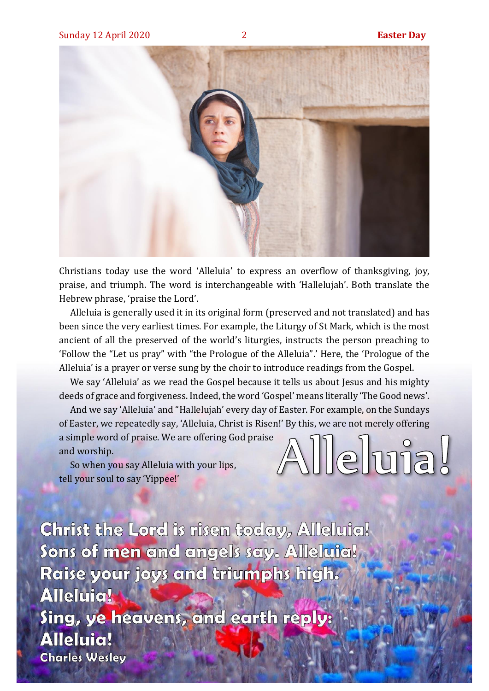llehuja.



Christians today use the word 'Alleluia' to express an overflow of thanksgiving, joy, praise, and triumph. The word is interchangeable with 'Hallelujah'. Both translate the Hebrew phrase, 'praise the Lord'.

Alleluia is generally used it in its original form (preserved and not translated) and has been since the very earliest times. For example, the Liturgy of St Mark, which is the most ancient of all the preserved of the world's liturgies, instructs the person preaching to 'Follow the "Let us pray" with "the Prologue of the Alleluia".' Here, the 'Prologue of the Alleluia' is a prayer or verse sung by the choir to introduce readings from the Gospel.

We say 'Alleluia' as we read the Gospel because it tells us about Jesus and his mighty deeds of grace and forgiveness. Indeed, the word 'Gospel' means literally 'The Good news'.

And we say 'Alleluia' and "Hallelujah' every day of Easter. For example, on the Sundays of Easter, we repeatedly say, 'Alleluia, Christ is Risen!' By this, we are not merely offering

a simple word of praise. We are offering God praise and worship.

So when you say Alleluia with your lips, tell your soul to say 'Yippee!'

Christ the Lord is risen today, Alleluia! Sons of men and angels say. Alleluia! Raise your joys and triumphs high. **Alleluia!** Sing, ye heavens, and earth reply: **Alleluia! Charles Wesley**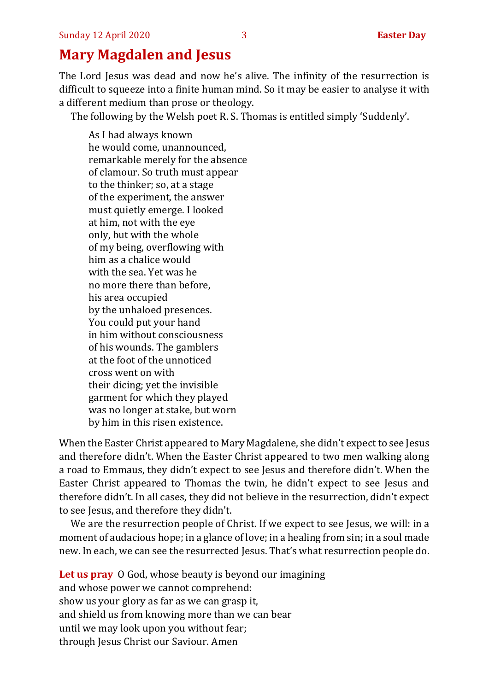#### **Mary Magdalen and Jesus**

The Lord Jesus was dead and now he's alive. The infinity of the resurrection is difficult to squeeze into a finite human mind. So it may be easier to analyse it with a different medium than prose or theology.

The following by the Welsh poet R. S. Thomas is entitled simply 'Suddenly'.

As I had always known he would come, unannounced, remarkable merely for the absence of clamour. So truth must appear to the thinker; so, at a stage of the experiment, the answer must quietly emerge. I looked at him, not with the eye only, but with the whole of my being, overflowing with him as a chalice would with the sea. Yet was he no more there than before, his area occupied by the unhaloed presences. You could put your hand in him without consciousness of his wounds. The gamblers at the foot of the unnoticed cross went on with their dicing; yet the invisible garment for which they played was no longer at stake, but worn by him in this risen existence.

When the Easter Christ appeared to Mary Magdalene, she didn't expect to see Jesus and therefore didn't. When the Easter Christ appeared to two men walking along a road to Emmaus, they didn't expect to see Jesus and therefore didn't. When the Easter Christ appeared to Thomas the twin, he didn't expect to see Jesus and therefore didn't. In all cases, they did not believe in the resurrection, didn't expect to see Jesus, and therefore they didn't.

We are the resurrection people of Christ. If we expect to see Jesus, we will: in a moment of audacious hope; in a glance of love; in a healing from sin; in a soul made new. In each, we can see the resurrected Jesus. That's what resurrection people do.

**Let us pray** O God, whose beauty is beyond our imagining and whose power we cannot comprehend: show us your glory as far as we can grasp it, and shield us from knowing more than we can bear until we may look upon you without fear; through Jesus Christ our Saviour. Amen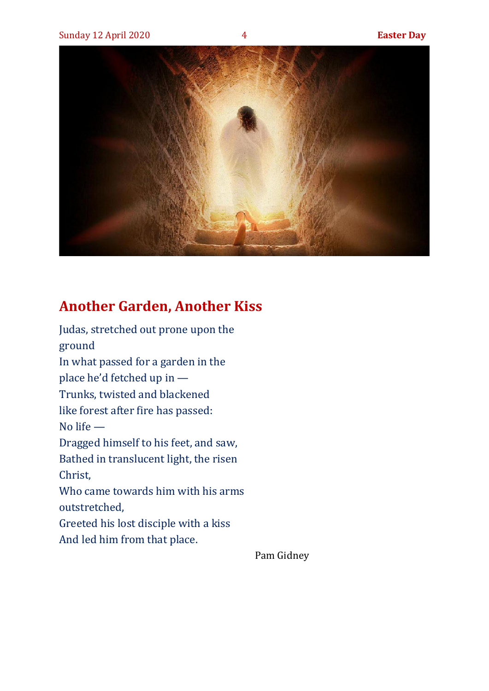

#### **Another Garden, Another Kiss**

Judas, stretched out prone upon the ground In what passed for a garden in the place he'd fetched up in — Trunks, twisted and blackened like forest after fire has passed: No life — Dragged himself to his feet, and saw, Bathed in translucent light, the risen Christ, Who came towards him with his arms outstretched, Greeted his lost disciple with a kiss And led him from that place.

Pam Gidney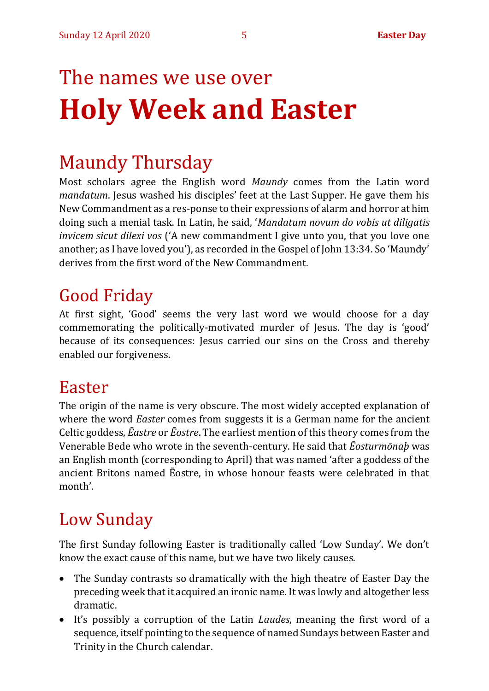# The names we use over **Holy Week and Easter**

## Maundy Thursday

Most scholars agree the English word *Maundy* comes from the Latin word *mandatum*. Jesus washed his disciples' feet at the Last Supper. He gave them his New Commandment as a res-ponse to their expressions of alarm and horror at him doing such a menial task. In Latin, he said, '*Mandatum novum do vobis ut diligatis invicem sicut dilexi vos* ('A new commandment I give unto you, that you love one another; as I have loved you'), as recorded in the Gospel of John 13:34. So 'Maundy' derives from the first word of the New Commandment.

## Good Friday

At first sight, 'Good' seems the very last word we would choose for a day commemorating the politically-motivated murder of Jesus. The day is 'good' because of its consequences: Jesus carried our sins on the Cross and thereby enabled our forgiveness.

### Easter

The origin of the name is very obscure. The most widely accepted explanation of where the word *Easter* comes from suggests it is a German name for the ancient Celtic goddess, *Ēastre* or *Ēostre*. The earliest mention of this theory comes from the Venerable Bede who wrote in the seventh-century. He said that *Ēosturmōnaþ* was an English month (corresponding to April) that was named 'after a goddess of the ancient Britons named Ēostre, in whose honour feasts were celebrated in that month'.

## Low Sunday

The first Sunday following Easter is traditionally called 'Low Sunday'. We don't know the exact cause of this name, but we have two likely causes.

- The Sunday contrasts so dramatically with the high theatre of Easter Day the preceding week that it acquired an ironic name. It was lowly and altogether less dramatic.
- It's possibly a corruption of the Latin *Laudes*, meaning the first word of a sequence, itself pointing to the sequence of named Sundays between Easter and Trinity in the Church calendar.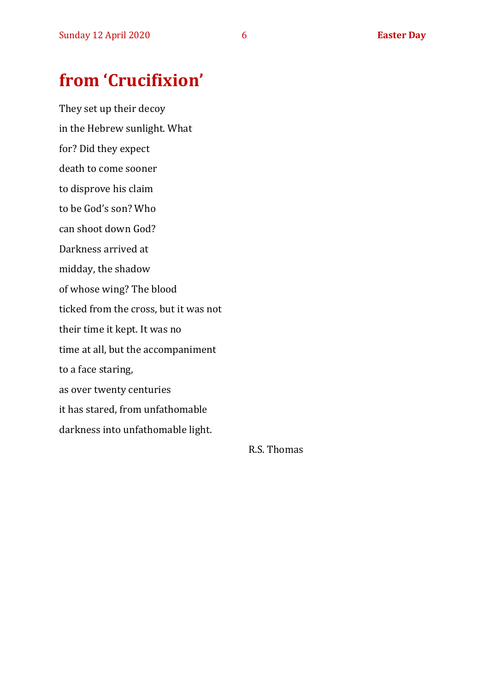## **from 'Crucifixion'**

They set up their decoy in the Hebrew sunlight. What for? Did they expect death to come sooner to disprove his claim to be God's son? Who can shoot down God? Darkness arrived at midday, the shadow of whose wing? The blood ticked from the cross, but it was not their time it kept. It was no time at all, but the accompaniment to a face staring, as over twenty centuries it has stared, from unfathomable darkness into unfathomable light.

R.S. Thomas